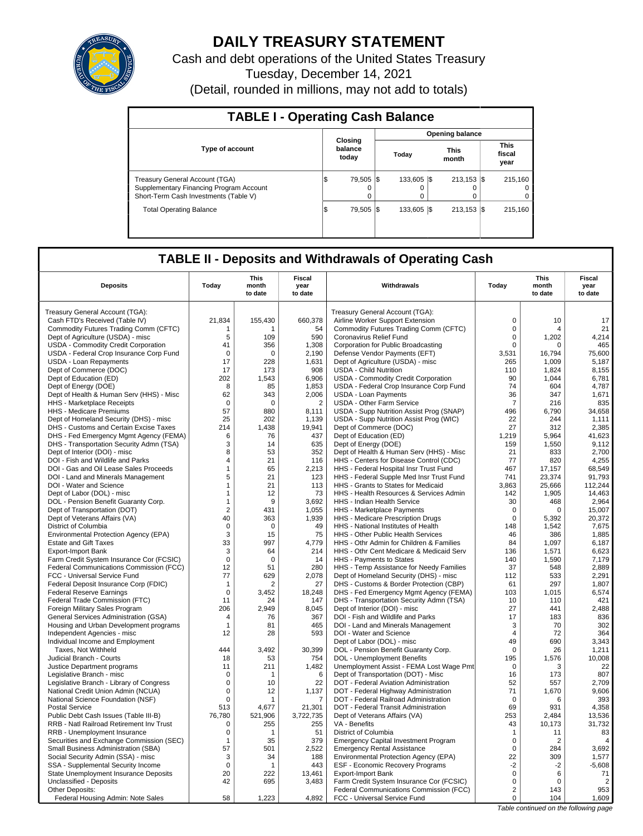

# **DAILY TREASURY STATEMENT**

Cash and debt operations of the United States Treasury Tuesday, December 14, 2021 (Detail, rounded in millions, may not add to totals)

| <b>TABLE I - Operating Cash Balance</b>                                                                            |                 |                             |  |                               |  |                           |  |                                 |  |  |
|--------------------------------------------------------------------------------------------------------------------|-----------------|-----------------------------|--|-------------------------------|--|---------------------------|--|---------------------------------|--|--|
|                                                                                                                    | Opening balance |                             |  |                               |  |                           |  |                                 |  |  |
| <b>Type of account</b>                                                                                             |                 | Closing<br>balance<br>today |  | <b>This</b><br>Today<br>month |  |                           |  | <b>This</b><br>fiscal<br>year   |  |  |
| Treasury General Account (TGA)<br>Supplementary Financing Program Account<br>Short-Term Cash Investments (Table V) |                 | 79.505   \$<br>$\Omega$     |  | 133,605 \\$<br>0              |  | $213.153$ $\sqrt{5}$<br>O |  | 215.160<br>$^{(1)}$<br>$\Omega$ |  |  |
| <b>Total Operating Balance</b>                                                                                     | 1\$             | 79.505   \$                 |  | 133,605 \\$                   |  | $213.153$ S               |  | 215.160                         |  |  |

## **TABLE II - Deposits and Withdrawals of Operating Cash**

| <b>Deposits</b>                                         | Todav          | This<br>month<br>to date | Fiscal<br>year<br>to date | Withdrawals                                                             | Todav              | This<br>month<br>to date | Fiscal<br>year<br>to date |
|---------------------------------------------------------|----------------|--------------------------|---------------------------|-------------------------------------------------------------------------|--------------------|--------------------------|---------------------------|
|                                                         |                |                          |                           |                                                                         |                    |                          |                           |
| Treasury General Account (TGA):                         |                |                          |                           | Treasury General Account (TGA):                                         |                    |                          |                           |
| Cash FTD's Received (Table IV)                          | 21.834         | 155,430                  | 660,378                   | Airline Worker Support Extension                                        | $\Omega$           | 10                       | 17                        |
| Commodity Futures Trading Comm (CFTC)                   | 1              | 1                        | 54                        | Commodity Futures Trading Comm (CFTC)                                   | $\mathbf 0$        | 4                        | 21                        |
| Dept of Agriculture (USDA) - misc                       | 5              | 109                      | 590                       | Coronavirus Relief Fund                                                 | $\mathbf 0$        | 1,202                    | 4,214                     |
| USDA - Commodity Credit Corporation                     | 41             | 356                      | 1,308                     | Corporation for Public Broadcasting                                     | $\mathbf 0$        | 0                        | 465                       |
| USDA - Federal Crop Insurance Corp Fund                 | $\Omega$       | $\Omega$                 | 2,190                     | Defense Vendor Payments (EFT)                                           | 3,531              | 16,794                   | 75,600                    |
| <b>USDA - Loan Repayments</b>                           | 17             | 228                      | 1.631                     | Dept of Agriculture (USDA) - misc                                       | 265                | 1.009                    | 5,187                     |
| Dept of Commerce (DOC)                                  | 17             | 173                      | 908                       | <b>USDA - Child Nutrition</b>                                           | 110                | 1,824                    | 8,155                     |
| Dept of Education (ED)                                  | 202            | 1,543                    | 6,906                     | USDA - Commodity Credit Corporation                                     | 90                 | 1.044                    | 6.781                     |
| Dept of Energy (DOE)                                    | 8              | 85                       | 1,853                     | USDA - Federal Crop Insurance Corp Fund                                 | 74                 | 604                      | 4,787                     |
| Dept of Health & Human Serv (HHS) - Misc                | 62             | 343                      | 2,006                     | <b>USDA - Loan Payments</b>                                             | 36                 | 347                      | 1,671                     |
| HHS - Marketplace Receipts                              | $\overline{0}$ | $\mathbf 0$              | $\overline{2}$            | <b>USDA - Other Farm Service</b>                                        | 7                  | 216                      | 835                       |
| HHS - Medicare Premiums                                 | 57             | 880                      | 8,111                     | USDA - Supp Nutrition Assist Prog (SNAP)                                | 496                | 6.790                    | 34,658                    |
| Dept of Homeland Security (DHS) - misc                  | 25             | 202                      | 1.139                     | USDA - Supp Nutrition Assist Prog (WIC)                                 | 22                 | 244                      | 1.111                     |
| DHS - Customs and Certain Excise Taxes                  | 214            | 1,438                    | 19,941                    | Dept of Commerce (DOC)                                                  | 27                 | 312                      | 2,385                     |
| DHS - Fed Emergency Mgmt Agency (FEMA)                  | 6              | 76                       | 437                       | Dept of Education (ED)                                                  | 1,219              | 5.964                    | 41,623                    |
| DHS - Transportation Security Admn (TSA)                | 3              | 14                       | 635                       | Dept of Energy (DOE)                                                    | 159                | 1,550                    | 9,112                     |
| Dept of Interior (DOI) - misc                           | 8              | 53                       | 352                       | Dept of Health & Human Serv (HHS) - Misc                                | 21                 | 833                      | 2.700                     |
| DOI - Fish and Wildlife and Parks                       | 4              | 21                       | 116                       | HHS - Centers for Disease Control (CDC)                                 | 77                 | 820                      | 4,255                     |
| DOI - Gas and Oil Lease Sales Proceeds                  | $\mathbf{1}$   | 65                       | 2,213                     | HHS - Federal Hospital Insr Trust Fund                                  | 467                | 17,157                   | 68.549                    |
| DOI - Land and Minerals Management                      | 5              | 21                       | 123                       | HHS - Federal Supple Med Insr Trust Fund                                | 741                | 23,374                   | 91,793                    |
| DOI - Water and Science                                 | $\mathbf{1}$   | 21                       | 113                       | HHS - Grants to States for Medicaid                                     | 3,863              | 25,666                   | 112,244                   |
| Dept of Labor (DOL) - misc                              | $\mathbf{1}$   | 12                       | 73                        | HHS - Health Resources & Services Admin                                 | 142                | 1.905                    | 14,463                    |
| DOL - Pension Benefit Guaranty Corp.                    | $\mathbf{1}$   | 9                        | 3,692                     | HHS - Indian Health Service                                             | 30                 | 468                      | 2,964                     |
| Dept of Transportation (DOT)                            | $\overline{2}$ | 431                      | 1.055                     | HHS - Marketplace Payments                                              | $\mathbf 0$        | 0                        | 15,007                    |
| Dept of Veterans Affairs (VA)                           | 40             | 363                      | 1,939                     | HHS - Medicare Prescription Drugs                                       | 0                  | 5,392                    | 20,372                    |
| District of Columbia                                    | $\mathbf 0$    | $\Omega$                 | 49                        | HHS - National Institutes of Health                                     | 148                | 1,542                    | 7,675                     |
| Environmental Protection Agency (EPA)                   | 3              | 15                       | 75                        | HHS - Other Public Health Services                                      | 46                 | 386                      | 1,885                     |
| <b>Estate and Gift Taxes</b>                            | 33             | 997                      | 4,779                     | HHS - Othr Admin for Children & Families                                | 84                 | 1,097                    | 6,187                     |
| <b>Export-Import Bank</b>                               | 3              | 64                       | 214                       | HHS - Othr Cent Medicare & Medicaid Serv                                | 136                | 1,571                    | 6,623                     |
| Farm Credit System Insurance Cor (FCSIC)                | $\Omega$       | $\Omega$                 | 14                        | HHS - Payments to States                                                | 140                | 1,590                    | 7,179                     |
| Federal Communications Commission (FCC)                 | 12             | 51                       | 280                       | HHS - Temp Assistance for Needy Families                                | 37                 | 548                      | 2,889                     |
| FCC - Universal Service Fund                            | 77             | 629                      | 2,078                     | Dept of Homeland Security (DHS) - misc                                  | 112                | 533                      | 2,291                     |
| Federal Deposit Insurance Corp (FDIC)                   | $\mathbf{1}$   | 2                        | 27                        | DHS - Customs & Border Protection (CBP)                                 | 61                 | 297                      | 1,807                     |
| <b>Federal Reserve Earnings</b>                         | $\mathsf 0$    | 3,452                    | 18,248                    | DHS - Fed Emergency Mgmt Agency (FEMA)                                  | 103                | 1,015                    | 6,574                     |
| Federal Trade Commission (FTC)                          | 11             | 24                       | 147                       | DHS - Transportation Security Admn (TSA)                                | 10                 | 110                      | 421                       |
| Foreign Military Sales Program                          | 206            | 2,949                    | 8,045                     | Dept of Interior (DOI) - misc                                           | 27                 | 441                      | 2,488                     |
| General Services Administration (GSA)                   | $\overline{4}$ | 76                       | 367                       | DOI - Fish and Wildlife and Parks                                       | 17                 | 183                      | 836                       |
| Housing and Urban Development programs                  | $\mathbf{1}$   | 81                       | 465                       | DOI - Land and Minerals Management                                      | 3                  | 70                       | 302                       |
| Independent Agencies - misc                             | 12             | 28                       | 593                       | DOI - Water and Science                                                 | $\sqrt{4}$         | 72                       | 364                       |
| Individual Income and Employment                        |                | 3.492                    | 30.399                    | Dept of Labor (DOL) - misc                                              | 49<br>$\mathbf 0$  | 690<br>26                | 3,343                     |
| Taxes, Not Withheld                                     | 444            |                          |                           | DOL - Pension Benefit Guaranty Corp.                                    |                    |                          | 1,211                     |
| Judicial Branch - Courts<br>Justice Department programs | 18<br>11       | 53<br>211                | 754<br>1,482              | DOL - Unemployment Benefits<br>Unemployment Assist - FEMA Lost Wage Pmt | 195<br>$\mathbf 0$ | 1,576<br>3               | 10,008<br>22              |
| Legislative Branch - misc                               | $\Omega$       | 1                        | 6                         | Dept of Transportation (DOT) - Misc                                     | 16                 | 173                      | 807                       |
| Legislative Branch - Library of Congress                | $\mathsf 0$    | 10                       | 22                        | DOT - Federal Aviation Administration                                   | 52                 | 557                      | 2,709                     |
| National Credit Union Admin (NCUA)                      | $\mathbf 0$    | 12                       | 1,137                     | DOT - Federal Highway Administration                                    | 71                 | 1,670                    | 9,606                     |
| National Science Foundation (NSF)                       | $\mathbf 0$    | $\mathbf{1}$             | $\overline{7}$            | DOT - Federal Railroad Administration                                   | $\mathbf 0$        | 6                        | 393                       |
| <b>Postal Service</b>                                   | 513            | 4.677                    | 21,301                    | DOT - Federal Transit Administration                                    | 69                 | 931                      | 4.358                     |
| Public Debt Cash Issues (Table III-B)                   | 76,780         | 521,906                  | 3,722,735                 | Dept of Veterans Affairs (VA)                                           | 253                | 2,484                    | 13,536                    |
| RRB - Natl Railroad Retirement Inv Trust                | 0              | 255                      | 255                       | VA - Benefits                                                           | 43                 | 10.173                   | 31,732                    |
| RRB - Unemployment Insurance                            | $\mathbf 0$    | 1                        | 51                        | District of Columbia                                                    | $\mathbf{1}$       | 11                       | 83                        |
| Securities and Exchange Commission (SEC)                | $\mathbf{1}$   | 35                       | 379                       | <b>Emergency Capital Investment Program</b>                             | $\mathsf 0$        | 2                        | $\overline{4}$            |
| Small Business Administration (SBA)                     | 57             | 501                      | 2,522                     | <b>Emergency Rental Assistance</b>                                      | $\mathbf 0$        | 284                      | 3,692                     |
| Social Security Admin (SSA) - misc                      | 3              | 34                       | 188                       | Environmental Protection Agency (EPA)                                   | 22                 | 309                      | 1,577                     |
| SSA - Supplemental Security Income                      | $\mathbf 0$    | $\mathbf 1$              | 443                       | <b>ESF - Economic Recovery Programs</b>                                 | $-2$               | $-2$                     | $-5,608$                  |
| State Unemployment Insurance Deposits                   | 20             | 222                      | 13,461                    | <b>Export-Import Bank</b>                                               | $\mathbf 0$        | 6                        | 71                        |
| Unclassified - Deposits                                 | 42             | 695                      | 3,483                     | Farm Credit System Insurance Cor (FCSIC)                                | $\mathbf 0$        | 0                        | $\overline{2}$            |
| Other Deposits:                                         |                |                          |                           | Federal Communications Commission (FCC)                                 | $\overline{2}$     | 143                      | 953                       |
| Federal Housing Admin: Note Sales                       | 58             | 1.223                    | 4.892                     | FCC - Universal Service Fund                                            | 0                  | 104                      | 1,609                     |
|                                                         |                |                          |                           |                                                                         |                    |                          |                           |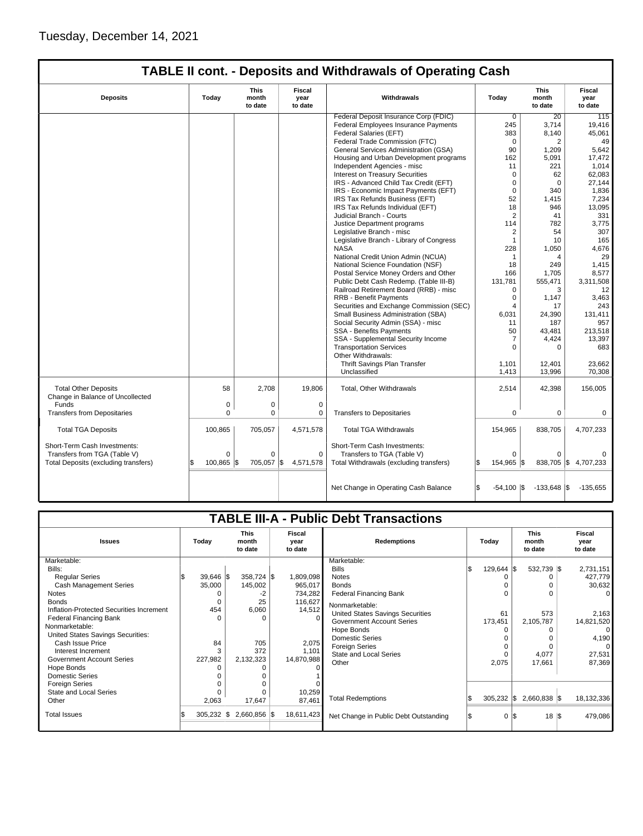# **TABLE II cont. - Deposits and Withdrawals of Operating Cash**

| <b>Deposits</b>                                                 | Today       | This<br>month<br>to date | Fiscal<br>year<br>to date | Withdrawals                              | Today                | This<br>month<br>to date | Fiscal<br>year<br>to date |
|-----------------------------------------------------------------|-------------|--------------------------|---------------------------|------------------------------------------|----------------------|--------------------------|---------------------------|
|                                                                 |             |                          |                           | Federal Deposit Insurance Corp (FDIC)    | $\overline{0}$       | 20                       | 115                       |
|                                                                 |             |                          |                           | Federal Employees Insurance Payments     | 245                  | 3,714                    | 19,416                    |
|                                                                 |             |                          |                           | Federal Salaries (EFT)                   | 383                  | 8,140                    | 45,061                    |
|                                                                 |             |                          |                           | Federal Trade Commission (FTC)           | $\mathbf 0$          | 2                        | 49                        |
|                                                                 |             |                          |                           | General Services Administration (GSA)    | 90                   | 1,209                    | 5,642                     |
|                                                                 |             |                          |                           | Housing and Urban Development programs   | 162                  | 5,091                    | 17,472                    |
|                                                                 |             |                          |                           | Independent Agencies - misc              | 11                   | 221                      | 1,014                     |
|                                                                 |             |                          |                           | Interest on Treasury Securities          | $\Omega$             | 62                       | 62,083                    |
|                                                                 |             |                          |                           | IRS - Advanced Child Tax Credit (EFT)    | $\mathbf 0$          | $\Omega$                 | 27,144                    |
|                                                                 |             |                          |                           | IRS - Economic Impact Payments (EFT)     | $\mathbf 0$          | 340                      | 1,836                     |
|                                                                 |             |                          |                           | IRS Tax Refunds Business (EFT)           | 52                   | 1,415                    | 7,234                     |
|                                                                 |             |                          |                           | IRS Tax Refunds Individual (EFT)         | 18                   | 946                      | 13,095                    |
|                                                                 |             |                          |                           | Judicial Branch - Courts                 | $\overline{2}$       | 41                       | 331                       |
|                                                                 |             |                          |                           | Justice Department programs              | 114                  | 782                      | 3,775                     |
|                                                                 |             |                          |                           | Legislative Branch - misc                | 2                    | 54                       | 307                       |
|                                                                 |             |                          |                           | Legislative Branch - Library of Congress | $\mathbf{1}$         | 10                       | 165                       |
|                                                                 |             |                          |                           | <b>NASA</b>                              | 228                  | 1,050                    | 4,676                     |
|                                                                 |             |                          |                           | National Credit Union Admin (NCUA)       | 1                    | 4                        | 29                        |
|                                                                 |             |                          |                           | National Science Foundation (NSF)        | 18                   | 249                      | 1,415                     |
|                                                                 |             |                          |                           | Postal Service Money Orders and Other    | 166                  | 1,705                    | 8,577                     |
|                                                                 |             |                          |                           | Public Debt Cash Redemp. (Table III-B)   | 131,781              | 555,471                  | 3,311,508                 |
|                                                                 |             |                          |                           | Railroad Retirement Board (RRB) - misc   | 0                    | 3                        | 12                        |
|                                                                 |             |                          |                           | <b>RRB - Benefit Payments</b>            | $\Omega$             | 1,147                    | 3,463                     |
|                                                                 |             |                          |                           | Securities and Exchange Commission (SEC) | $\overline{4}$       | 17                       | 243                       |
|                                                                 |             |                          |                           | Small Business Administration (SBA)      | 6,031                | 24,390                   | 131,411                   |
|                                                                 |             |                          |                           | Social Security Admin (SSA) - misc       | 11                   | 187                      | 957                       |
|                                                                 |             |                          |                           | <b>SSA - Benefits Payments</b>           | 50                   | 43.481                   | 213,518                   |
|                                                                 |             |                          |                           | SSA - Supplemental Security Income       | $\overline{7}$       | 4,424                    | 13,397                    |
|                                                                 |             |                          |                           | <b>Transportation Services</b>           | $\Omega$             | $\Omega$                 | 683                       |
|                                                                 |             |                          |                           | Other Withdrawals:                       |                      |                          |                           |
|                                                                 |             |                          |                           | Thrift Savings Plan Transfer             | 1,101                | 12,401                   | 23,662                    |
|                                                                 |             |                          |                           | Unclassified                             | 1,413                | 13,996                   | 70.308                    |
| <b>Total Other Deposits</b><br>Change in Balance of Uncollected | 58          | 2,708                    | 19,806                    | Total, Other Withdrawals                 | 2,514                | 42,398                   | 156,005                   |
| Funds                                                           | $\mathbf 0$ | $\mathbf 0$              | $\mathbf 0$               |                                          |                      |                          |                           |
| <b>Transfers from Depositaries</b>                              | $\Omega$    | $\mathbf 0$              | 0                         | <b>Transfers to Depositaries</b>         | 0                    | $\mathbf 0$              | $\mathbf 0$               |
|                                                                 |             |                          |                           |                                          |                      |                          |                           |
| <b>Total TGA Deposits</b>                                       | 100,865     | 705,057                  | 4,571,578                 | <b>Total TGA Withdrawals</b>             | 154,965              | 838,705                  | 4,707,233                 |
| Short-Term Cash Investments:                                    |             |                          |                           | Short-Term Cash Investments:             |                      |                          |                           |
| Transfers from TGA (Table V)                                    | $\mathbf 0$ | 0                        | $\mathbf 0$               | Transfers to TGA (Table V)               | $\Omega$             | $\mathbf 0$              |                           |
| Total Deposits (excluding transfers)                            | 100,865     | 705,057<br>1\$           | l\$<br>4,571,578          | Total Withdrawals (excluding transfers)  | 154,965  \$          | 838,705                  | 1\$<br>4,707,233          |
|                                                                 |             |                          |                           |                                          |                      |                          |                           |
|                                                                 |             |                          |                           | Net Change in Operating Cash Balance     | $-54,100$ $\sqrt{5}$ | $-133,648$ \$            | $-135,655$                |

| <b>TABLE III-A - Public Debt Transactions</b>                                                                                                                                                                                                                                                                                                                                                                         |                                                              |                                                                                                           |                                                                                                |                                                                                                                                                                                                                                                                                                   |                                                 |                                                   |                                                                                                                        |  |  |  |  |
|-----------------------------------------------------------------------------------------------------------------------------------------------------------------------------------------------------------------------------------------------------------------------------------------------------------------------------------------------------------------------------------------------------------------------|--------------------------------------------------------------|-----------------------------------------------------------------------------------------------------------|------------------------------------------------------------------------------------------------|---------------------------------------------------------------------------------------------------------------------------------------------------------------------------------------------------------------------------------------------------------------------------------------------------|-------------------------------------------------|---------------------------------------------------|------------------------------------------------------------------------------------------------------------------------|--|--|--|--|
| <b>Issues</b>                                                                                                                                                                                                                                                                                                                                                                                                         | Today                                                        | <b>This</b><br>month<br>to date                                                                           | Fiscal<br>year<br>to date                                                                      | <b>Redemptions</b>                                                                                                                                                                                                                                                                                | Today                                           | <b>This</b><br>month<br>to date                   | Fiscal<br>year<br>to date                                                                                              |  |  |  |  |
| Marketable:<br>Bills:<br><b>Regular Series</b><br>Cash Management Series<br><b>Notes</b><br><b>Bonds</b><br>Inflation-Protected Securities Increment<br><b>Federal Financing Bank</b><br>Nonmarketable:<br>United States Savings Securities:<br>Cash Issue Price<br>Interest Increment<br><b>Government Account Series</b><br>Hope Bonds<br><b>Domestic Series</b><br><b>Foreign Series</b><br>State and Local Series | $39,646$ \$<br>35,000<br>0<br>454<br>O<br>84<br>3<br>227,982 | 358,724 \$<br>145,002<br>-2<br>25<br>6,060<br>$\Omega$<br>705<br>372<br>2,132,323<br>$\Omega$<br>$\Omega$ | 1,809,098<br>965,017<br>734,282<br>116,627<br>14,512<br>2,075<br>1,101<br>14,870,988<br>10,259 | Marketable:<br><b>Bills</b><br><b>Notes</b><br><b>Bonds</b><br><b>Federal Financing Bank</b><br>Nonmarketable:<br>United States Savings Securities<br><b>Government Account Series</b><br>Hope Bonds<br><b>Domestic Series</b><br><b>Foreign Series</b><br><b>State and Local Series</b><br>Other | $129,644$ $\sqrt{\$}$<br>61<br>173,451<br>2,075 | 532,739 \$<br>573<br>2,105,787<br>4,077<br>17,661 | 2,731,151<br>427,779<br>30,632<br>$\Omega$<br>2,163<br>14,821,520<br>$\Omega$<br>4,190<br>$\Omega$<br>27,531<br>87,369 |  |  |  |  |
| Other                                                                                                                                                                                                                                                                                                                                                                                                                 | 2,063                                                        | 17,647                                                                                                    | 87,461                                                                                         | <b>Total Redemptions</b>                                                                                                                                                                                                                                                                          | $305,232$ \$                                    | $2,660,838$ \$                                    | 18,132,336                                                                                                             |  |  |  |  |
| <b>Total Issues</b>                                                                                                                                                                                                                                                                                                                                                                                                   | $305,232$ $\sqrt{\$}$                                        | $2,660,856$ \\$                                                                                           | 18,611,423                                                                                     | Net Change in Public Debt Outstanding                                                                                                                                                                                                                                                             | 0                                               | $18 \vert$ \$<br>I\$                              | 479,086                                                                                                                |  |  |  |  |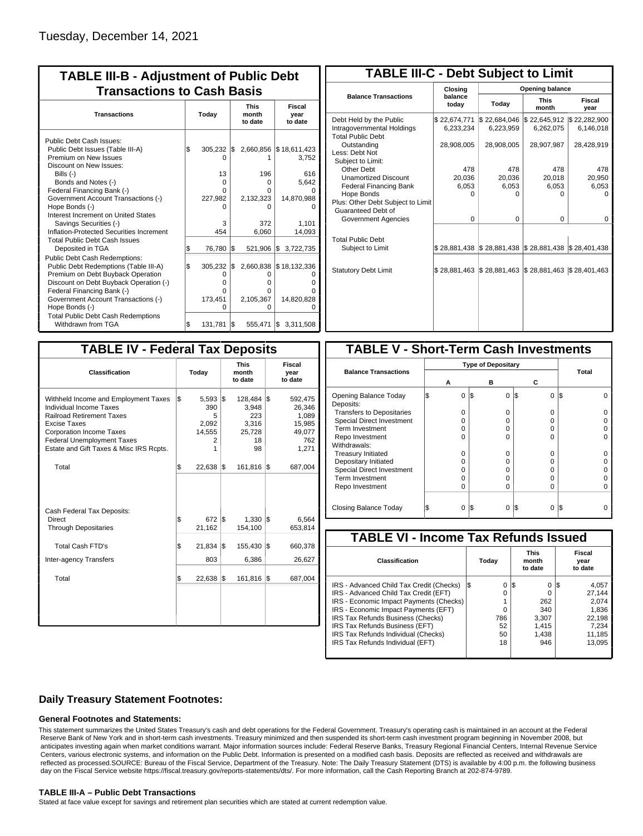| <b>TABLE III-B - Adjustment of Public Debt</b><br><b>Transactions to Cash Basis</b>                                                                                                 |       |                        |     |                       |                                   |  |  |  |  |                                 |                           |
|-------------------------------------------------------------------------------------------------------------------------------------------------------------------------------------|-------|------------------------|-----|-----------------------|-----------------------------------|--|--|--|--|---------------------------------|---------------------------|
| <b>Transactions</b>                                                                                                                                                                 | Today |                        |     |                       |                                   |  |  |  |  | <b>This</b><br>month<br>to date | Fiscal<br>year<br>to date |
| Public Debt Cash Issues:<br>Public Debt Issues (Table III-A)<br>Premium on New Issues                                                                                               | \$    | $305,232$ \$<br>n      |     |                       | 2,660,856   \$18,611,423<br>3,752 |  |  |  |  |                                 |                           |
| Discount on New Issues:<br>Bills $(-)$<br>Bonds and Notes (-)<br>Federal Financing Bank (-)                                                                                         |       | 13<br>$\Omega$<br>O    |     | 196<br>O<br>0         | 616<br>5,642                      |  |  |  |  |                                 |                           |
| Government Account Transactions (-)<br>Hope Bonds (-)<br>Interest Increment on United States<br>Savings Securities (-)                                                              |       | 227,982<br>3           |     | 2,132,323<br>n<br>372 | 14,870,988<br>1,101               |  |  |  |  |                                 |                           |
| Inflation-Protected Securities Increment<br><b>Total Public Debt Cash Issues</b><br>Deposited in TGA                                                                                | S.    | 454<br>76,780          | 1\$ | 6,060<br>521,906 \$   | 14,093<br>3,722,735               |  |  |  |  |                                 |                           |
| Public Debt Cash Redemptions:<br>Public Debt Redemptions (Table III-A)<br>Premium on Debt Buyback Operation<br>Discount on Debt Buyback Operation (-)<br>Federal Financing Bank (-) | l\$   | 305,232<br>0<br>0<br>O | I\$ | O<br>0<br>0           | 2,660,838   \$18,132,336          |  |  |  |  |                                 |                           |
| Government Account Transactions (-)<br>Hope Bonds (-)<br><b>Total Public Debt Cash Redemptions</b>                                                                                  |       | 173,451<br>O           |     | 2,105,367<br>0        | 14,820,828                        |  |  |  |  |                                 |                           |
| Withdrawn from TGA                                                                                                                                                                  | l\$   | 131,781                | l\$ | 555,471               | I\$<br>3,311,508                  |  |  |  |  |                                 |                           |

| <b>TABLE III-C - Debt Subject to Limit</b>                                        |                           |                                            |                           |                           |  |  |  |  |  |  |
|-----------------------------------------------------------------------------------|---------------------------|--------------------------------------------|---------------------------|---------------------------|--|--|--|--|--|--|
|                                                                                   | Closina                   | Opening balance                            |                           |                           |  |  |  |  |  |  |
| <b>Balance Transactions</b>                                                       | balance<br>today          | Today                                      | <b>This</b><br>month      | Fiscal<br>year            |  |  |  |  |  |  |
| Debt Held by the Public<br>Intragovernmental Holdings<br><b>Total Public Debt</b> | \$22,674,771<br>6,233,234 | \$22,684,046<br>6,223,959                  | \$22,645,912<br>6,262,075 | \$22,282,900<br>6,146,018 |  |  |  |  |  |  |
| Outstanding<br>Less: Debt Not<br>Subject to Limit:                                | 28,908,005                | 28,908,005                                 | 28,907,987                | 28,428,919                |  |  |  |  |  |  |
| Other Debt                                                                        | 478                       | 478                                        | 478                       | 478                       |  |  |  |  |  |  |
| <b>Unamortized Discount</b>                                                       | 20.036                    | 20.036                                     | 20,018                    | 20,950                    |  |  |  |  |  |  |
| <b>Federal Financing Bank</b>                                                     | 6,053                     | 6,053                                      | 6,053                     | 6,053                     |  |  |  |  |  |  |
| Hope Bonds                                                                        | 0                         | O                                          | n                         | O                         |  |  |  |  |  |  |
| Plus: Other Debt Subject to Limit<br>Guaranteed Debt of                           |                           |                                            |                           |                           |  |  |  |  |  |  |
| Government Agencies                                                               | $\Omega$                  | $\Omega$                                   | 0                         | $\Omega$                  |  |  |  |  |  |  |
| <b>Total Public Debt</b><br>Subject to Limit                                      |                           | \$28,881,438   \$28,881,438   \$28,881,438 |                           | \$28,401,438              |  |  |  |  |  |  |
| <b>Statutory Debt Limit</b>                                                       | \$28,881,463              | \$28,881,463                               | \$28,881,463              | \$28,401,463              |  |  |  |  |  |  |
|                                                                                   |                           |                                            |                           |                           |  |  |  |  |  |  |

| <b>TABLE IV - Federal Tax Deposits</b>                                                                                                                                                                                                        |     |                                                |     |                                                              |     |                                                                |  |  |  |
|-----------------------------------------------------------------------------------------------------------------------------------------------------------------------------------------------------------------------------------------------|-----|------------------------------------------------|-----|--------------------------------------------------------------|-----|----------------------------------------------------------------|--|--|--|
| Classification                                                                                                                                                                                                                                |     | Today                                          |     | <b>This</b><br>month<br>to date                              |     | Fiscal<br>year<br>to date                                      |  |  |  |
| Withheld Income and Employment Taxes<br>Individual Income Taxes<br><b>Railroad Retirement Taxes</b><br><b>Excise Taxes</b><br><b>Corporation Income Taxes</b><br><b>Federal Unemployment Taxes</b><br>Estate and Gift Taxes & Misc IRS Rcpts. | \$  | 5,593<br>390<br>5<br>2,092<br>14,555<br>2<br>1 | l\$ | $128,484$ \\$<br>3,948<br>223<br>3,316<br>25,728<br>18<br>98 |     | 592,475<br>26.346<br>1,089<br>15,985<br>49,077<br>762<br>1,271 |  |  |  |
| Total                                                                                                                                                                                                                                         | l\$ | $22,638$ \$                                    |     | 161,816 \$                                                   |     | 687,004                                                        |  |  |  |
| Cash Federal Tax Deposits:<br>Direct<br><b>Through Depositaries</b>                                                                                                                                                                           | \$  | 672<br>21,162                                  | l\$ | $1,330$ $\vert \$\$<br>154,100                               |     | 6,564<br>653,814                                               |  |  |  |
| <b>Total Cash FTD's</b><br>Inter-agency Transfers                                                                                                                                                                                             | Ŝ.  | 21,834<br>803                                  | l\$ | 155,430<br>6,386                                             | l\$ | 660,378<br>26,627                                              |  |  |  |
| Total                                                                                                                                                                                                                                         | \$  | 22,638                                         | 1\$ | 161,816                                                      | 1\$ | 687,004                                                        |  |  |  |
|                                                                                                                                                                                                                                               |     |                                                |     |                                                              |     |                                                                |  |  |  |

| <b>TABLE V - Short-Term Cash Investments</b> |   |                           |     |          |     |          |     |       |  |  |
|----------------------------------------------|---|---------------------------|-----|----------|-----|----------|-----|-------|--|--|
|                                              |   | <b>Type of Depositary</b> |     |          |     |          |     |       |  |  |
| <b>Balance Transactions</b>                  |   | А                         |     | в        |     | С        |     | Total |  |  |
| Opening Balance Today<br>Deposits:           | S | 0                         | 1\$ | 0        | 1\$ | $\Omega$ | I\$ |       |  |  |
| <b>Transfers to Depositaries</b>             |   | O                         |     | $\Omega$ |     | $\Omega$ |     |       |  |  |
| Special Direct Investment                    |   | O                         |     | O        |     | 0        |     |       |  |  |
| Term Investment                              |   | O                         |     | 0        |     | 0        |     |       |  |  |
| Repo Investment                              |   | O                         |     | ŋ        |     | 0        |     |       |  |  |
| Withdrawals:                                 |   |                           |     |          |     |          |     |       |  |  |
| <b>Treasury Initiated</b>                    |   | O                         |     | 0        |     | 0        |     |       |  |  |
| Depositary Initiated                         |   | O                         |     | O        |     | 0        |     |       |  |  |
| <b>Special Direct Investment</b>             |   | Ω                         |     | O        |     | 0        |     |       |  |  |
| <b>Term Investment</b>                       |   | ი                         |     | O        |     | $\Omega$ |     |       |  |  |
| Repo Investment                              |   | 0                         |     | 0        |     | $\Omega$ |     |       |  |  |
| Closing Balance Today                        |   | 0                         | I\$ | 0        | I\$ | 0        | l\$ |       |  |  |

| <b>TABLE VI - Income Tax Refunds Issued</b> |     |       |                                 |       |    |                           |  |  |  |  |  |
|---------------------------------------------|-----|-------|---------------------------------|-------|----|---------------------------|--|--|--|--|--|
| Classification                              |     | Today | <b>This</b><br>month<br>to date |       |    | Fiscal<br>year<br>to date |  |  |  |  |  |
| IRS - Advanced Child Tax Credit (Checks)    | l\$ | 0     | 1\$                             | 0     | 13 | 4,057                     |  |  |  |  |  |
| IRS - Advanced Child Tax Credit (EFT)       |     | 0     |                                 | 0     |    | 27.144                    |  |  |  |  |  |
| IRS - Economic Impact Payments (Checks)     |     |       |                                 | 262   |    | 2.074                     |  |  |  |  |  |
| IRS - Economic Impact Payments (EFT)        |     | 0     |                                 | 340   |    | 1,836                     |  |  |  |  |  |
| IRS Tax Refunds Business (Checks)           |     | 786   |                                 | 3.307 |    | 22.198                    |  |  |  |  |  |
| IRS Tax Refunds Business (EFT)              |     | 52    |                                 | 1,415 |    | 7,234                     |  |  |  |  |  |
| IRS Tax Refunds Individual (Checks)         |     | 50    |                                 | 1,438 |    | 11,185                    |  |  |  |  |  |
| IRS Tax Refunds Individual (EFT)            |     | 18    |                                 | 946   |    | 13.095                    |  |  |  |  |  |

## **Daily Treasury Statement Footnotes:**

## **General Footnotes and Statements:**

This statement summarizes the United States Treasury's cash and debt operations for the Federal Government. Treasury's operating cash is maintained in an account at the Federal Reserve Bank of New York and in short-term cash investments. Treasury minimized and then suspended its short-term cash investment program beginning in November 2008, but anticipates investing again when market conditions warrant. Major information sources include: Federal Reserve Banks, Treasury Regional Financial Centers, Internal Revenue Service Centers, various electronic systems, and information on the Public Debt. Information is presented on a modified cash basis. Deposits are reflected as received and withdrawals are reflected as processed.SOURCE: Bureau of the Fiscal Service, Department of the Treasury. Note: The Daily Treasury Statement (DTS) is available by 4:00 p.m. the following business day on the Fiscal Service website https://fiscal.treasury.gov/reports-statements/dts/. For more information, call the Cash Reporting Branch at 202-874-9789.

### **TABLE III-A – Public Debt Transactions**

Stated at face value except for savings and retirement plan securities which are stated at current redemption value.